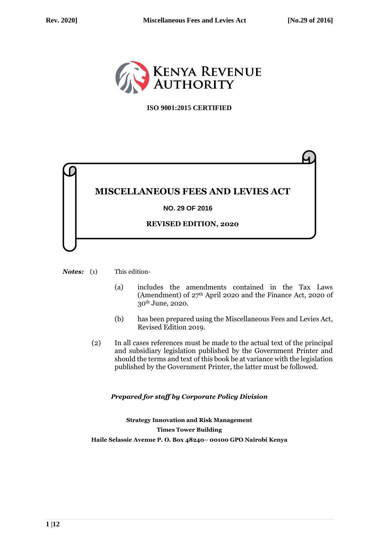

**ISO 9001:2015 CERTIFIED**



*Notes:* (1) This edition-

- (a) includes the amendments contained in the Tax Laws (Amendment) of 27th April 2020 and the Finance Act, 2020 of 30th June, 2020.
- (b) has been prepared using the Miscellaneous Fees and Levies Act, Revised Edition 2019.
- (2) In all cases references must be made to the actual text of the principal and subsidiary legislation published by the Government Printer and should the terms and text of this book be at variance with the legislation published by the Government Printer, the latter must be followed.

*Prepared for staff by Corporate Policy Division*

**Strategy Innovation and Risk Management Times Tower Building Haile Selassie Avenue P. O. Box 48240– 00100 GPO Nairobi Kenya**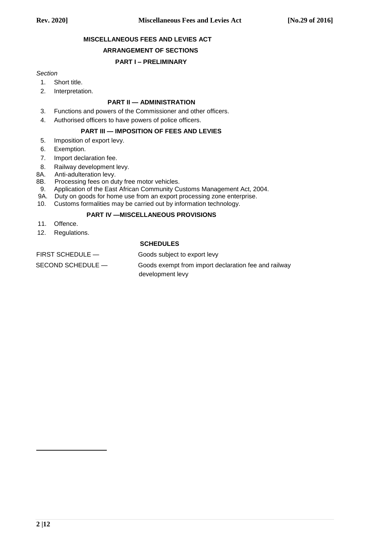# **MISCELLANEOUS FEES AND LEVIES ACT**

### **ARRANGEMENT OF SECTIONS**

## **PART I – PRELIMINARY**

### *Section*

- 1. Short title.
- 2. Interpretation.

## **PART II — ADMINISTRATION**

3. Functions and powers of the Commissioner and other officers.

4. Authorised officers to have powers of police officers.

### **PART III — IMPOSITION OF FEES AND LEVIES**

- 5. Imposition of export levy.
- 6. Exemption.
- 7. Import declaration fee.
- 8. Railway development levy.<br>8A. Anti-adulteration levy.
- Anti-adulteration levy.
- 8B. Processing fees on duty free motor vehicles.
- 9. Application of the East African Community Customs Management Act, 2004.
- 9A. Duty on goods for home use from an export processing zone enterprise.
- 10. Customs formalities may be carried out by information technology.

# **PART IV —MISCELLANEOUS PROVISIONS**

- 11. Offence.
- 12. Regulations.

## **SCHEDULES**

| Goods subject to export levy                         |
|------------------------------------------------------|
| Goods exempt from import declaration fee and railway |
|                                                      |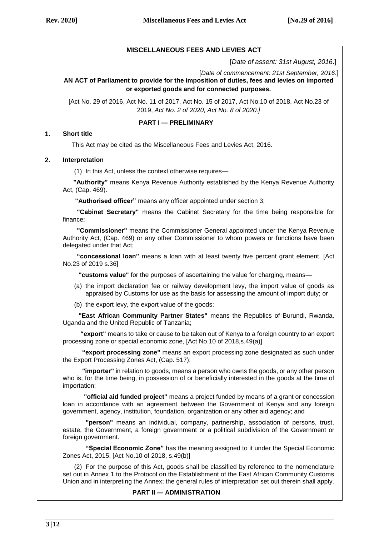## **MISCELLANEOUS FEES AND LEVIES ACT**

[*Date of assent: 31st August, 2016*.]

 [*Date of commencement: 21st September, 2016*.] **AN ACT of Parliament to provide for the imposition of duties, fees and levies on imported** 

**or exported goods and for connected purposes.**

[Act No. 29 of 2016, Act No. 11 of 2017, Act No. 15 of 2017, Act No.10 of 2018, Act No.23 of 2019, *Act No. 2 of 2020, Act No. 8 of 2020.]*

**PART I — PRELIMINARY**

#### **1. Short title**

This Act may be cited as the Miscellaneous Fees and Levies Act, 2016.

### **2. Interpretation**

(1) In this Act, unless the context otherwise requires—

 **"Authority"** means Kenya Revenue Authority established by the Kenya Revenue Authority Act, (Cap. 469).

 **"Authorised officer"** means any officer appointed under section 3;

 **"Cabinet Secretary"** means the Cabinet Secretary for the time being responsible for finance;

 **"Commissioner"** means the Commissioner General appointed under the Kenya Revenue Authority Act, (Cap. 469) or any other Commissioner to whom powers or functions have been delegated under that Act;

 **"concessional loan"** means a loan with at least twenty five percent grant element. [Act No.23 of 2019 s.36]

 **"customs value"** for the purposes of ascertaining the value for charging, means—

- (a) the import declaration fee or railway development levy, the import value of goods as appraised by Customs for use as the basis for assessing the amount of import duty; or
- (b) the export levy, the export value of the goods;

 **"East African Community Partner States"** means the Republics of Burundi, Rwanda, Uganda and the United Republic of Tanzania;

 **"export"** means to take or cause to be taken out of Kenya to a foreign country to an export processing zone or special economic zone, [Act No.10 of 2018,s.49(a)]

 **"export processing zone"** means an export processing zone designated as such under the Export Processing Zones Act, (Cap. 517);

 **"importer"** in relation to goods, means a person who owns the goods, or any other person who is, for the time being, in possession of or beneficially interested in the goods at the time of importation;

 **"official aid funded project"** means a project funded by means of a grant or concession loan in accordance with an agreement between the Government of Kenya and any foreign government, agency, institution, foundation, organization or any other aid agency; and

 **"person"** means an individual, company, partnership, association of persons, trust, estate, the Government, a foreign government or a political subdivision of the Government or foreign government.

 **"Special Economic Zone"** has the meaning assigned to it under the Special Economic Zones Act, 2015. [Act No.10 of 2018, s.49(b)]

(2) For the purpose of this Act, goods shall be classified by reference to the nomenclature set out in Annex 1 to the Protocol on the Establishment of the East African Community Customs Union and in interpreting the Annex; the general rules of interpretation set out therein shall apply.

### **PART II — ADMINISTRATION**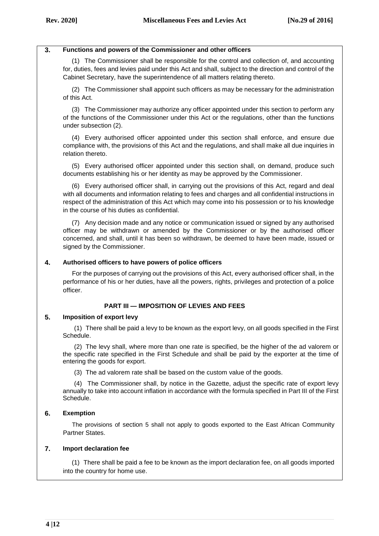### **3. Functions and powers of the Commissioner and other officers**

(1) The Commissioner shall be responsible for the control and collection of, and accounting for, duties, fees and levies paid under this Act and shall, subject to the direction and control of the Cabinet Secretary, have the superintendence of all matters relating thereto.

(2) The Commissioner shall appoint such officers as may be necessary for the administration of this Act.

(3) The Commissioner may authorize any officer appointed under this section to perform any of the functions of the Commissioner under this Act or the regulations, other than the functions under subsection (2).

(4) Every authorised officer appointed under this section shall enforce, and ensure due compliance with, the provisions of this Act and the regulations, and shall make all due inquiries in relation thereto.

(5) Every authorised officer appointed under this section shall, on demand, produce such documents establishing his or her identity as may be approved by the Commissioner.

(6) Every authorised officer shall, in carrying out the provisions of this Act, regard and deal with all documents and information relating to fees and charges and all confidential instructions in respect of the administration of this Act which may come into his possession or to his knowledge in the course of his duties as confidential.

(7) Any decision made and any notice or communication issued or signed by any authorised officer may be withdrawn or amended by the Commissioner or by the authorised officer concerned, and shall, until it has been so withdrawn, be deemed to have been made, issued or signed by the Commissioner.

### **4. Authorised officers to have powers of police officers**

For the purposes of carrying out the provisions of this Act, every authorised officer shall, in the performance of his or her duties, have all the powers, rights, privileges and protection of a police officer.

### **PART III — IMPOSITION OF LEVIES AND FEES**

### **5. Imposition of export levy**

(1) There shall be paid a levy to be known as the export levy, on all goods specified in the First Schedule.

(2) The levy shall, where more than one rate is specified, be the higher of the ad valorem or the specific rate specified in the First Schedule and shall be paid by the exporter at the time of entering the goods for export.

(3) The ad valorem rate shall be based on the custom value of the goods.

(4) The Commissioner shall, by notice in the Gazette, adjust the specific rate of export levy annually to take into account inflation in accordance with the formula specified in Part III of the First Schedule.

### **6. Exemption**

The provisions of section 5 shall not apply to goods exported to the East African Community Partner States.

### **7. Import declaration fee**

(1) There shall be paid a fee to be known as the import declaration fee, on all goods imported into the country for home use.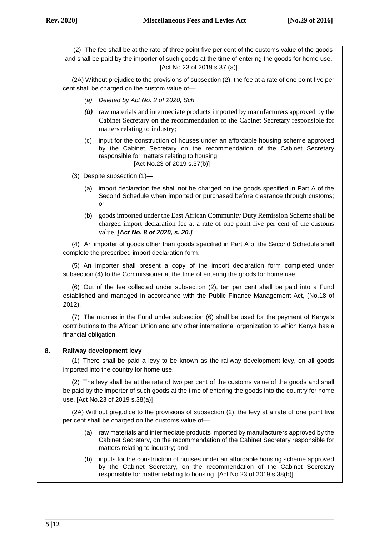(2) The fee shall be at the rate of three point five per cent of the customs value of the goods and shall be paid by the importer of such goods at the time of entering the goods for home use. [Act No.23 of 2019 s.37 (a)]

(2A) Without prejudice to the provisions of subsection (2), the fee at a rate of one point five per cent shall be charged on the custom value of—

- *(a) Deleted by Act No. 2 of 2020, Sch*
- *(b)* raw materials and intermediate products imported by manufacturers approved by the Cabinet Secretary on the recommendation of the Cabinet Secretary responsible for matters relating to industry;
- (c) input for the construction of houses under an affordable housing scheme approved by the Cabinet Secretary on the recommendation of the Cabinet Secretary responsible for matters relating to housing. [Act No.23 of 2019 s.37(b)]
- (3) Despite subsection (1)—
	- (a) import declaration fee shall not be charged on the goods specified in Part A of the Second Schedule when imported or purchased before clearance through customs; or
	- (b) goods imported under the East African Community Duty Remission Scheme shall be charged import declaration fee at a rate of one point five per cent of the customs value. *[Act No. 8 of 2020, s. 20.]*

(4) An importer of goods other than goods specified in Part A of the Second Schedule shall complete the prescribed import declaration form.

(5) An importer shall present a copy of the import declaration form completed under subsection (4) to the Commissioner at the time of entering the goods for home use.

(6) Out of the fee collected under subsection (2), ten per cent shall be paid into a Fund established and managed in accordance with the Public Finance Management Act, (No.18 of 2012).

(7) The monies in the Fund under subsection (6) shall be used for the payment of Kenya's contributions to the African Union and any other international organization to which Kenya has a financial obligation.

# **8. Railway development levy**

(1) There shall be paid a levy to be known as the railway development levy, on all goods imported into the country for home use.

(2) The levy shall be at the rate of two per cent of the customs value of the goods and shall be paid by the importer of such goods at the time of entering the goods into the country for home use. [Act No.23 of 2019 s.38(a)]

(2A) Without prejudice to the provisions of subsection (2), the levy at a rate of one point five per cent shall be charged on the customs value of—

- (a) raw materials and intermediate products imported by manufacturers approved by the Cabinet Secretary, on the recommendation of the Cabinet Secretary responsible for matters relating to industry; and
- (b) inputs for the construction of houses under an affordable housing scheme approved by the Cabinet Secretary, on the recommendation of the Cabinet Secretary responsible for matter relating to housing. [Act No.23 of 2019 s.38(b)]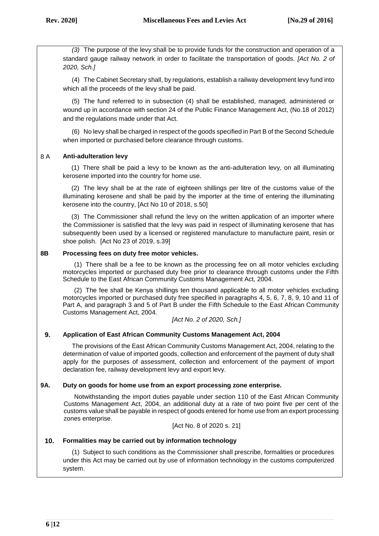*(3)* The purpose of the levy shall be to provide funds for the construction and operation of a standard gauge railway network in order to facilitate the transportation of goods. *[Act No. 2 of 2020, Sch.]*

(4) The Cabinet Secretary shall, by regulations, establish a railway development levy fund into which all the proceeds of the levy shall be paid.

(5) The fund referred to in subsection (4) shall be established, managed, administered or wound up in accordance with section 24 of the Public Finance Management Act, (No.18 of 2012) and the regulations made under that Act.

(6) No levy shall be charged in respect of the goods specified in Part B of the Second Schedule when imported or purchased before clearance through customs.

# 8 A **Anti-adulteration levy**

(1) There shall be paid a levy to be known as the anti-adulteration levy, on all illuminating kerosene imported into the country for home use.

(2) The levy shall be at the rate of eighteen shillings per litre of the customs value of the illuminating kerosene and shall be paid by the importer at the time of entering the illuminating kerosene into the country, [Act No 10 of 2018, s.50]

(3) The Commissioner shall refund the levy on the written application of an importer where the Commissioner is satisfied that the levy was paid in respect of illuminating kerosene that has subsequently been used by a licensed or registered manufacture to manufacture paint, resin or shoe polish. [Act No 23 of 2019, s.39]

## **8B Processing fees on duty free motor vehicles.**

(1) There shall be a fee to be known as the processing fee on all motor vehicles excluding motorcycles imported or purchased duty free prior to clearance through customs under the Fifth Schedule to the East African Community Customs Management Act, 2004.

(2) The fee shall be Kenya shillings ten thousand applicable to all motor vehicles excluding motorcycles imported or purchased duty free specified in paragraphs 4, 5, 6, 7, 8, 9, 10 and 11 of Part A, and paragraph 3 and 5 of Part B under the Fifth Schedule to the East African Community Customs Management Act, 2004.

*[Act No. 2 of 2020, Sch.]*

# **9. Application of East African Community Customs Management Act, 2004**

The provisions of the East African Community Customs Management Act, 2004, relating to the determination of value of imported goods, collection and enforcement of the payment of duty shall apply for the purposes of assessment, collection and enforcement of the payment of import declaration fee, railway development levy and export levy.

### **9A. Duty on goods for home use from an export processing zone enterprise.**

Notwithstanding the import duties payable under section 110 of the East African Community Customs Management Act, 2004, an additional duty at a rate of two point five per cent of the customs value shall be payable in respect of goods entered for home use from an export processing zones enterprise.

[Act No. 8 of 2020 s. 21]

# **10. Formalities may be carried out by information technology**

(1) Subject to such conditions as the Commissioner shall prescribe, formalities or procedures under this Act may be carried out by use of information technology in the customs computerized system.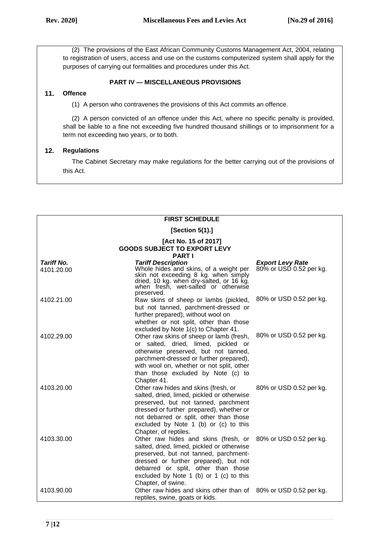(2) The provisions of the East African Community Customs Management Act, 2004, relating to registration of users, access and use on the customs computerized system shall apply for the purposes of carrying out formalities and procedures under this Act.

## **PART IV — MISCELLANEOUS PROVISIONS**

# **11. Offence**

(1) A person who contravenes the provisions of this Act commits an offence.

(2) A person convicted of an offence under this Act, where no specific penalty is provided, shall be liable to a fine not exceeding five hundred thousand shillings or to imprisonment for a term not exceeding two years, or to both.

## **12. Regulations**

The Cabinet Secretary may make regulations for the better carrying out of the provisions of this Act.

| <b>FIRST SCHEDULE</b>                                                        |                                                                                                                                                                                                                                                                                     |                                                    |  |  |
|------------------------------------------------------------------------------|-------------------------------------------------------------------------------------------------------------------------------------------------------------------------------------------------------------------------------------------------------------------------------------|----------------------------------------------------|--|--|
|                                                                              | [Section 5(1).]                                                                                                                                                                                                                                                                     |                                                    |  |  |
| [Act No. 15 of 2017]<br><b>GOODS SUBJECT TO EXPORT LEVY</b><br><b>PART I</b> |                                                                                                                                                                                                                                                                                     |                                                    |  |  |
| <b>Tariff No.</b><br>4101.20.00                                              | <b>Tariff Description</b><br>Whole hides and skins, of a weight per<br>skin not exceeding 8 kg. when simply dried, 10 kg. when dry-salted, or 16 kg.<br>when fresh, wet-salted or otherwise<br>preserved.                                                                           | <b>Export Levy Rate</b><br>80% or USD 0.52 per kg. |  |  |
| 4102.21.00                                                                   | Raw skins of sheep or lambs (pickled,<br>but not tanned, parchment-dressed or<br>further prepared), without wool on<br>whether or not split, other than those<br>excluded by Note 1(c) to Chapter 41.                                                                               | 80% or USD 0.52 per kg.                            |  |  |
| 4102.29.00                                                                   | Other raw skins of sheep or lamb (fresh,<br>or salted, dried, limed, pickled or<br>otherwise preserved, but not tanned,<br>parchment-dressed or further prepared),<br>with wool on, whether or not split, other<br>than those excluded by Note (c) to<br>Chapter 41.                | 80% or USD 0.52 per kg.                            |  |  |
| 4103.20.00                                                                   | Other raw hides and skins (fresh, or<br>salted, dried, limed, pickled or otherwise<br>preserved, but not tanned, parchment<br>dressed or further prepared), whether or<br>not debarred or split, other than those<br>excluded by Note 1 (b) or (c) to this<br>Chapter, of reptiles. | 80% or USD 0.52 per kg.                            |  |  |
| 4103.30.00                                                                   | Other raw hides and skins (fresh, or<br>salted, dried, limed, pickled or otherwise<br>preserved, but not tanned, parchment-<br>dressed or further prepared), but not<br>debarred or split, other than those<br>excluded by Note 1 (b) or 1 (c) to this<br>Chapter, of swine.        | 80% or USD 0.52 per kg.                            |  |  |
| 4103.90.00                                                                   | Other raw hides and skins other than of 80% or USD 0.52 per kg.<br>reptiles, swine, goats or kids.                                                                                                                                                                                  |                                                    |  |  |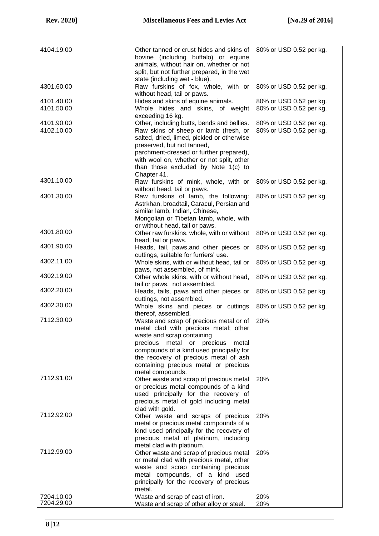| 4104.19.00 | Other tanned or crust hides and skins of 80% or USD 0.52 per kg. |                         |
|------------|------------------------------------------------------------------|-------------------------|
|            | bovine (including buffalo) or equine                             |                         |
|            | animals, without hair on, whether or not                         |                         |
|            | split, but not further prepared, in the wet                      |                         |
|            | state (including wet - blue).                                    |                         |
| 4301.60.00 | Raw furskins of fox, whole, with or 80% or USD 0.52 per kg.      |                         |
|            | without head, tail or paws.                                      |                         |
| 4101.40.00 | Hides and skins of equine animals.                               | 80% or USD 0.52 per kg. |
| 4101.50.00 | Whole hides and skins, of weight                                 | 80% or USD 0.52 per kg. |
|            | exceeding 16 kg.                                                 |                         |
| 4101.90.00 | Other, including butts, bends and bellies.                       | 80% or USD 0.52 per kg. |
| 4102.10.00 | Raw skins of sheep or lamb (fresh, or                            | 80% or USD 0.52 per kg. |
|            | salted, dried, limed, pickled or otherwise                       |                         |
|            | preserved, but not tanned,                                       |                         |
|            | parchment-dressed or further prepared),                          |                         |
|            | with wool on, whether or not split, other                        |                         |
|            | than those excluded by Note 1(c) to                              |                         |
|            | Chapter 41.                                                      |                         |
| 4301.10.00 | Raw furskins of mink, whole, with or                             | 80% or USD 0.52 per kg. |
|            | without head, tail or paws.                                      |                         |
| 4301.30.00 | Raw furskins of lamb, the following:                             | 80% or USD 0.52 per kg. |
|            | Astrkhan, broadtail, Caracul, Persian and                        |                         |
|            | similar lamb, Indian, Chinese,                                   |                         |
|            | Mongolian or Tibetan lamb, whole, with                           |                         |
|            |                                                                  |                         |
| 4301.80.00 | or without head, tail or paws.                                   |                         |
|            | Other raw furskins, whole, with or without                       | 80% or USD 0.52 per kg. |
| 4301.90.00 | head, tail or paws.                                              |                         |
|            | Heads, tail, paws, and other pieces or                           | 80% or USD 0.52 per kg. |
| 4302.11.00 | cuttings, suitable for furriers' use.                            |                         |
|            | Whole skins, with or without head, tail or                       | 80% or USD 0.52 per kg. |
| 4302.19.00 | paws, not assembled, of mink.                                    |                         |
|            | Other whole skins, with or without head,                         | 80% or USD 0.52 per kg. |
| 4302.20.00 | tail or paws, not assembled.                                     |                         |
|            | Heads, tails, paws and other pieces or                           | 80% or USD 0.52 per kg. |
| 4302.30.00 | cuttings, not assembled.                                         |                         |
|            | Whole skins and pieces or cuttings                               | 80% or USD 0.52 per kg. |
| 7112.30.00 | thereof, assembled.                                              |                         |
|            | Waste and scrap of precious metal or of                          | 20%                     |
|            | metal clad with precious metal; other                            |                         |
|            | waste and scrap containing                                       |                         |
|            | precious metal or precious<br>metal                              |                         |
|            | compounds of a kind used principally for                         |                         |
|            | the recovery of precious metal of ash                            |                         |
|            | containing precious metal or precious                            |                         |
| 7112.91.00 | metal compounds.                                                 |                         |
|            | Other waste and scrap of precious metal                          | 20%                     |
|            | or precious metal compounds of a kind                            |                         |
|            | used principally for the recovery of                             |                         |
|            | precious metal of gold including metal                           |                         |
| 7112.92.00 | clad with gold.                                                  |                         |
|            | Other waste and scraps of precious                               | 20%                     |
|            | metal or precious metal compounds of a                           |                         |
|            | kind used principally for the recovery of                        |                         |
|            | precious metal of platinum, including                            |                         |
|            | metal clad with platinum.                                        |                         |
| 7112.99.00 | Other waste and scrap of precious metal                          | 20%                     |
|            | or metal clad with precious metal, other                         |                         |
|            | waste and scrap containing precious                              |                         |
|            | metal compounds, of a kind used                                  |                         |
|            | principally for the recovery of precious                         |                         |
|            | metal.                                                           |                         |
| 7204.10.00 | Waste and scrap of cast of iron.                                 | 20%                     |
| 7204.29.00 | Waste and scrap of other alloy or steel.                         | 20%                     |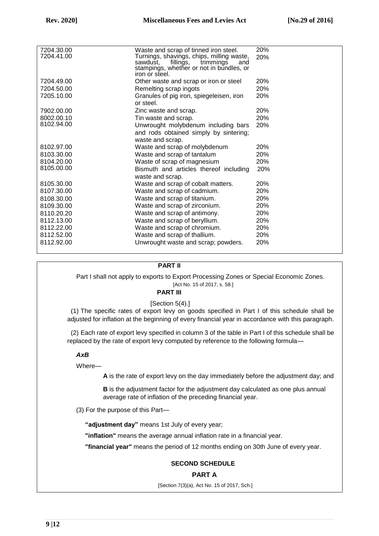| 7204.30.00<br>7204.41.00 | Waste and scrap of tinned iron steel.<br>Turnings, shavings, chips, milling waste, | 20%<br>20% |
|--------------------------|------------------------------------------------------------------------------------|------------|
|                          | fillings,<br>sawdust.<br>trimmings<br>and                                          |            |
|                          | stampings, whether or not in bundles, or<br>iron or steel.                         |            |
| 7204.49.00               | Other waste and scrap or iron or steel                                             | 20%        |
| 7204.50.00               | Remelting scrap ingots                                                             | 20%        |
| 7205.10.00               | Granules of pig iron, spiegeleisen, iron                                           | 20%        |
|                          | or steel.                                                                          |            |
| 7902.00.00               | Zinc waste and scrap.                                                              | 20%        |
| 8002.00.10               | Tin waste and scrap.                                                               | 20%        |
| 8102.94.00               | Unwrought molybdenum including bars                                                | 20%        |
|                          | and rods obtained simply by sintering;                                             |            |
|                          | waste and scrap.                                                                   |            |
| 8102.97.00               | Waste and scrap of molybdenum                                                      | 20%        |
| 8103.30.00               | Waste and scrap of tantalum                                                        | <b>20%</b> |
| 8104.20.00               | Waste of scrap of magnesium                                                        | 20%        |
| 8105.00.00               | Bismuth and articles thereof including                                             | 20%        |
|                          | waste and scrap.                                                                   |            |
| 8105.30.00               | Waste and scrap of cobalt matters.                                                 | 20%        |
| 8107.30.00               | Waste and scrap of cadmium.                                                        | 20%        |
| 8108.30.00               | Waste and scrap of titanium.                                                       | 20%        |
| 8109.30.00               | Waste and scrap of zirconium.                                                      | 20%        |
| 8110.20.20               | Waste and scrap of antimony.                                                       | 20%        |
| 8112.13.00               | Waste and scrap of beryllium.                                                      | 20%        |
| 8112.22.00               | Waste and scrap of chromium.                                                       | 20%        |
| 8112.52.00               | Waste and scrap of thallium.                                                       | 20%        |
| 8112.92.00               | Unwrought waste and scrap; powders.                                                | 20%        |
|                          |                                                                                    |            |

#### **PART II**

Part I shall not apply to exports to Export Processing Zones or Special Economic Zones. [Act No. 15 of 2017, s. 58.]

#### **PART III**

[Section 5(4).]

(1) The specific rates of export levy on goods specified in Part I of this schedule shall be adjusted for inflation at the beginning of every financial year in accordance with this paragraph.

(2) Each rate of export levy specified in column 3 of the table in Part I of this schedule shall be replaced by the rate of export levy computed by reference to the following formula—

## *AxB*

Where—

**A** is the rate of export levy on the day immediately before the adjustment day; and

**B** is the adjustment factor for the adjustment day calculated as one plus annual average rate of inflation of the preceding financial year.

(3) For the purpose of this Part—

**"adjustment day"** means 1st July of every year;

**"inflation"** means the average annual inflation rate in a financial year.

**"financial year"** means the period of 12 months ending on 30th June of every year.

### **SECOND SCHEDULE**

#### **PART A**

[Section 7(3)(a), Act No. 15 of 2017, Sch.]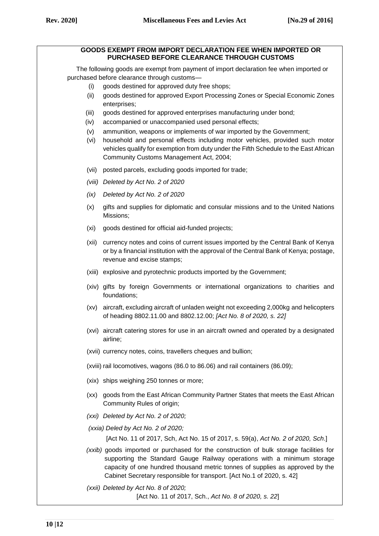#### **GOODS EXEMPT FROM IMPORT DECLARATION FEE WHEN IMPORTED OR PURCHASED BEFORE CLEARANCE THROUGH CUSTOMS**

The following goods are exempt from payment of import declaration fee when imported or purchased before clearance through customs—

- (i) goods destined for approved duty free shops;
- (ii) goods destined for approved Export Processing Zones or Special Economic Zones enterprises;
- (iii) goods destined for approved enterprises manufacturing under bond;
- (iv) accompanied or unaccompanied used personal effects;
- (v) ammunition, weapons or implements of war imported by the Government;
- (vi) household and personal effects including motor vehicles, provided such motor vehicles qualify for exemption from duty under the Fifth Schedule to the East African Community Customs Management Act, 2004;
- (vii) posted parcels, excluding goods imported for trade;
- *(viii) Deleted by Act No. 2 of 2020*
- *(ix) Deleted by Act No. 2 of 2020*
- (x) gifts and supplies for diplomatic and consular missions and to the United Nations Missions;
- (xi) goods destined for official aid-funded projects;
- (xii) currency notes and coins of current issues imported by the Central Bank of Kenya or by a financial institution with the approval of the Central Bank of Kenya; postage, revenue and excise stamps;
- (xiii) explosive and pyrotechnic products imported by the Government;
- (xiv) gifts by foreign Governments or international organizations to charities and foundations;
- (xv) aircraft, excluding aircraft of unladen weight not exceeding 2,000kg and helicopters of heading 8802.11.00 and 8802.12.00; *[Act No. 8 of 2020, s. 22]*
- (xvi) aircraft catering stores for use in an aircraft owned and operated by a designated airline;
- (xvii) currency notes, coins, travellers cheques and bullion;
- (xviii) rail locomotives, wagons (86.0 to 86.06) and rail containers (86.09);
- (xix) ships weighing 250 tonnes or more;
- (xx) goods from the East African Community Partner States that meets the East African Community Rules of origin;
- *(xxi) Deleted by Act No. 2 of 2020;*
- *(xxia) Deled by Act No. 2 of 2020;*

[Act No. 11 of 2017, Sch, Act No. 15 of 2017, s. 59(a), *Act No. 2 of 2020, Sch*.]

- *(xxib)* goods imported or purchased for the construction of bulk storage facilities for supporting the Standard Gauge Railway operations with a minimum storage capacity of one hundred thousand metric tonnes of supplies as approved by the Cabinet Secretary responsible for transport. [Act No.1 of 2020, s. 42]
- *(xxii) Deleted by Act No. 8 of 2020;* [Act No. 11 of 2017, Sch., *Act No. 8 of 2020, s. 22*]